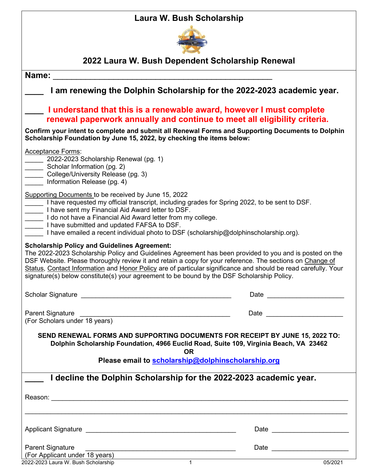## **Laura W. Bush Scholarship**



## **2022 Laura W. Bush Dependent Scholarship Renewal**

| 2022 Laura W. Bush Dependent Scholarship Renewal                                                                                                                                                                                                                                                                                                                                                                                    |  |  |
|-------------------------------------------------------------------------------------------------------------------------------------------------------------------------------------------------------------------------------------------------------------------------------------------------------------------------------------------------------------------------------------------------------------------------------------|--|--|
|                                                                                                                                                                                                                                                                                                                                                                                                                                     |  |  |
| I am renewing the Dolphin Scholarship for the 2022-2023 academic year.                                                                                                                                                                                                                                                                                                                                                              |  |  |
| I understand that this is a renewable award, however I must complete<br>renewal paperwork annually and continue to meet all eligibility criteria.<br>Confirm your intent to complete and submit all Renewal Forms and Supporting Documents to Dolphin<br>Scholarship Foundation by June 15, 2022, by checking the items below:                                                                                                      |  |  |
|                                                                                                                                                                                                                                                                                                                                                                                                                                     |  |  |
| I have requested my official transcript, including grades for Spring 2022, to be sent to DSF.<br>I do not have a Financial Aid Award letter from my college.<br>I have emailed a recent individual photo to DSF (scholarship@dolphinscholarship.org).                                                                                                                                                                               |  |  |
| The 2022-2023 Scholarship Policy and Guidelines Agreement has been provided to you and is posted on the<br>DSF Website. Please thoroughly review it and retain a copy for your reference. The sections on Change of<br>Status, Contact Information and Honor Policy are of particular significance and should be read carefully. Your<br>signature(s) below constitute(s) your agreement to be bound by the DSF Scholarship Policy. |  |  |
| Date <u>_________________</u>                                                                                                                                                                                                                                                                                                                                                                                                       |  |  |
|                                                                                                                                                                                                                                                                                                                                                                                                                                     |  |  |
| Date and the contract of the contract of the contract of the contract of the contract of the contract of the contract of the contract of the contract of the contract of the contract of the contract of the contract of the c                                                                                                                                                                                                      |  |  |
| SEND RENEWAL FORMS AND SUPPORTING DOCUMENTS FOR RECEIPT BY JUNE 15, 2022 TO:<br>Dolphin Scholarship Foundation, 4966 Euclid Road, Suite 109, Virginia Beach, VA 23462                                                                                                                                                                                                                                                               |  |  |
| Please email to scholarship@dolphinscholarship.org                                                                                                                                                                                                                                                                                                                                                                                  |  |  |
|                                                                                                                                                                                                                                                                                                                                                                                                                                     |  |  |
| I decline the Dolphin Scholarship for the 2022-2023 academic year.                                                                                                                                                                                                                                                                                                                                                                  |  |  |
|                                                                                                                                                                                                                                                                                                                                                                                                                                     |  |  |
|                                                                                                                                                                                                                                                                                                                                                                                                                                     |  |  |
| Date _________________________                                                                                                                                                                                                                                                                                                                                                                                                      |  |  |
|                                                                                                                                                                                                                                                                                                                                                                                                                                     |  |  |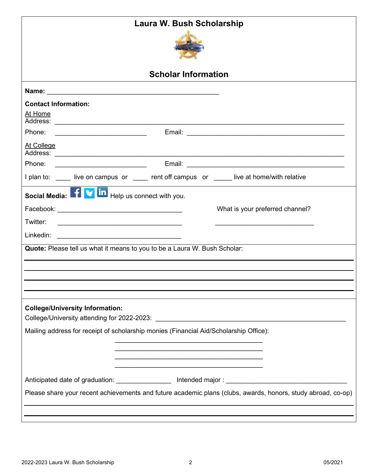| Laura W. Bush Scholarship                                                                                                         |  |  |
|-----------------------------------------------------------------------------------------------------------------------------------|--|--|
|                                                                                                                                   |  |  |
| <b>Scholar Information</b>                                                                                                        |  |  |
| Name: <u>__________________________________</u>                                                                                   |  |  |
| <b>Contact Information:</b>                                                                                                       |  |  |
| At Home                                                                                                                           |  |  |
|                                                                                                                                   |  |  |
| At College                                                                                                                        |  |  |
| Phone:<br><u> Alexandria de la contexta de la contexta de la contexta de la contexta de la contexta de la contexta de la c</u>    |  |  |
| I plan to: _____ live on campus or _____ rent off campus or _____ live at home/with relative                                      |  |  |
| Social Media: 1 <b>V</b> in Help us connect with you.                                                                             |  |  |
| What is your preferred channel?                                                                                                   |  |  |
| Twitter:<br><u> 1989 - Johann Barbara, martin amerikan basar dan basa dan basa dalam basa dalam basa dalam basa dalam basa da</u> |  |  |
|                                                                                                                                   |  |  |
| Quote: Please tell us what it means to you to be a Laura W. Bush Scholar:                                                         |  |  |
|                                                                                                                                   |  |  |
|                                                                                                                                   |  |  |
|                                                                                                                                   |  |  |
|                                                                                                                                   |  |  |
| <b>College/University Information:</b>                                                                                            |  |  |
| Mailing address for receipt of scholarship monies (Financial Aid/Scholarship Office):                                             |  |  |
|                                                                                                                                   |  |  |
| the control of the control of the control of the control of the control of the control of                                         |  |  |
|                                                                                                                                   |  |  |
|                                                                                                                                   |  |  |
| Please share your recent achievements and future academic plans (clubs, awards, honors, study abroad, co-op)                      |  |  |
|                                                                                                                                   |  |  |
|                                                                                                                                   |  |  |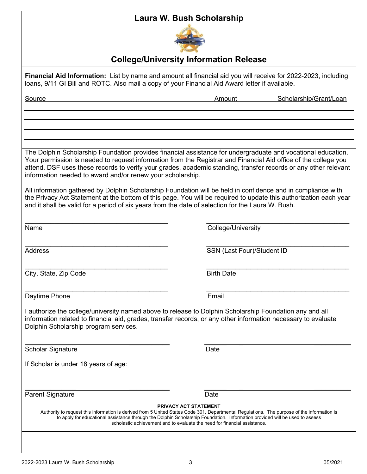## **Laura W. Bush Scholarship**



## **College/University Information Release**

| Financial Aid Information: List by name and amount all financial aid you will receive for 2022-2023, including<br>loans, 9/11 GI Bill and ROTC. Also mail a copy of your Financial Aid Award letter if available.                                                                                                                                                                                                                                                                                                                |                                  |  |
|----------------------------------------------------------------------------------------------------------------------------------------------------------------------------------------------------------------------------------------------------------------------------------------------------------------------------------------------------------------------------------------------------------------------------------------------------------------------------------------------------------------------------------|----------------------------------|--|
| Source                                                                                                                                                                                                                                                                                                                                                                                                                                                                                                                           | Scholarship/Grant/Loan<br>Amount |  |
|                                                                                                                                                                                                                                                                                                                                                                                                                                                                                                                                  |                                  |  |
|                                                                                                                                                                                                                                                                                                                                                                                                                                                                                                                                  |                                  |  |
|                                                                                                                                                                                                                                                                                                                                                                                                                                                                                                                                  |                                  |  |
| The Dolphin Scholarship Foundation provides financial assistance for undergraduate and vocational education.<br>Your permission is needed to request information from the Registrar and Financial Aid office of the college you<br>attend. DSF uses these records to verify your grades, academic standing, transfer records or any other relevant<br>information needed to award and/or renew your scholarship.<br>All information gathered by Dolphin Scholarship Foundation will be held in confidence and in compliance with |                                  |  |
| the Privacy Act Statement at the bottom of this page. You will be required to update this authorization each year<br>and it shall be valid for a period of six years from the date of selection for the Laura W. Bush.                                                                                                                                                                                                                                                                                                           |                                  |  |
| Name                                                                                                                                                                                                                                                                                                                                                                                                                                                                                                                             | College/University               |  |
| <b>Address</b>                                                                                                                                                                                                                                                                                                                                                                                                                                                                                                                   | SSN (Last Four)/Student ID       |  |
| City, State, Zip Code                                                                                                                                                                                                                                                                                                                                                                                                                                                                                                            | <b>Birth Date</b>                |  |
| Daytime Phone                                                                                                                                                                                                                                                                                                                                                                                                                                                                                                                    | Email                            |  |
| I authorize the college/university named above to release to Dolphin Scholarship Foundation any and all<br>information related to financial aid, grades, transfer records, or any other information necessary to evaluate<br>Dolphin Scholarship program services.                                                                                                                                                                                                                                                               |                                  |  |
| <b>Scholar Signature</b>                                                                                                                                                                                                                                                                                                                                                                                                                                                                                                         | Date                             |  |
| If Scholar is under 18 years of age:                                                                                                                                                                                                                                                                                                                                                                                                                                                                                             |                                  |  |
| <b>Parent Signature</b>                                                                                                                                                                                                                                                                                                                                                                                                                                                                                                          | Date                             |  |
| <b>PRIVACY ACT STATEMENT</b><br>Authority to request this information is derived from 5 United States Code 301, Departmental Regulations. The purpose of the information is<br>to apply for educational assistance through the Dolphin Scholarship Foundation. Information provided will be used to assess<br>scholastic achievement and to evaluate the need for financial assistance.                                                                                                                                          |                                  |  |